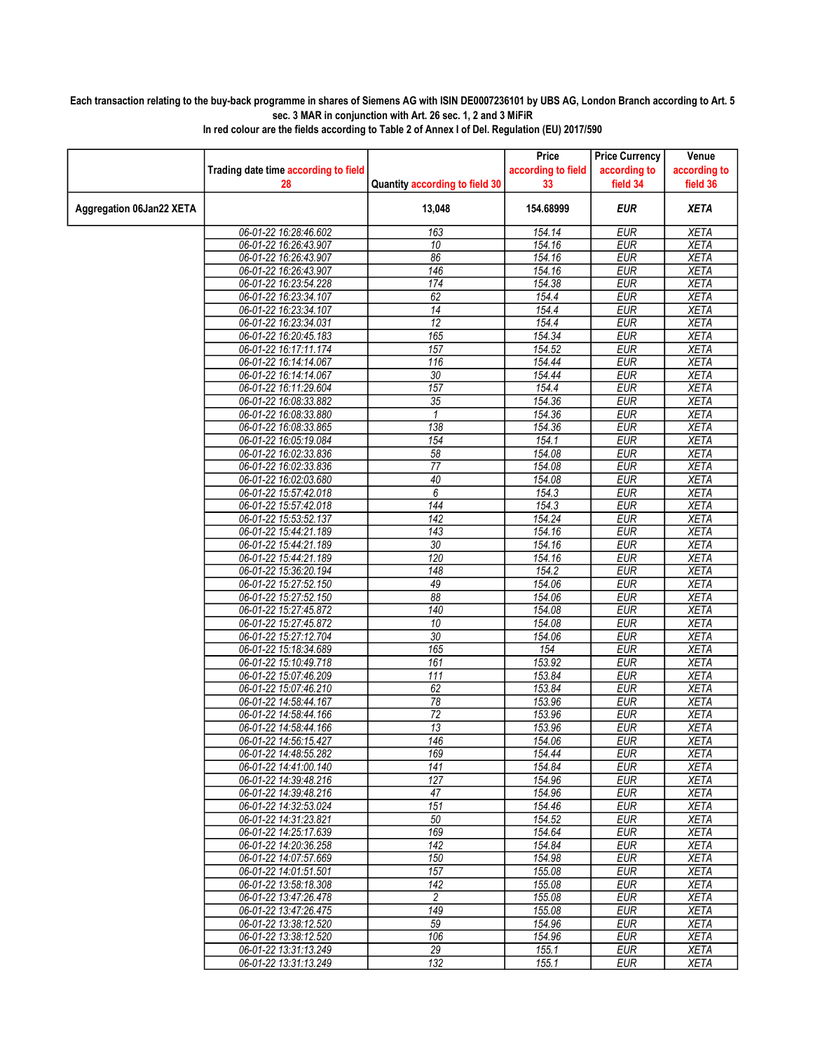## Each transaction relating to the buy-back programme in shares of Siemens AG with ISIN DE0007236101 by UBS AG, London Branch according to Art. 5 sec. 3 MAR in conjunction with Art. 26 sec. 1, 2 and 3 MiFiR

|                          |                                      |                                | Price              | <b>Price Currency</b> | Venue        |
|--------------------------|--------------------------------------|--------------------------------|--------------------|-----------------------|--------------|
|                          | Trading date time according to field |                                | according to field | according to          | according to |
|                          | 28                                   | Quantity according to field 30 | 33                 | field 34              | field 36     |
| Aggregation 06Jan22 XETA |                                      | 13,048                         | 154.68999          | <b>EUR</b>            | <b>XETA</b>  |
|                          | 06-01-22 16:28:46.602                | 163                            | 154.14             | <b>EUR</b>            | <b>XETA</b>  |
|                          | 06-01-22 16:26:43.907                | 10                             | 154.16             | <b>EUR</b>            | <b>XETA</b>  |
|                          | 06-01-22 16:26:43.907                | 86                             | 154.16             | <b>EUR</b>            | <b>XETA</b>  |
|                          | 06-01-22 16:26:43.907                | 146                            | 154.16             | <b>EUR</b>            | <b>XETA</b>  |
|                          | 06-01-22 16:23:54.228                | 174                            | 154.38             | <b>EUR</b>            | <b>XETA</b>  |
|                          | 06-01-22 16:23:34.107                | 62                             | 154.4              | <b>EUR</b>            | <b>XETA</b>  |
|                          | 06-01-22 16:23:34.107                | 14                             | 154.4              | <b>EUR</b>            | <b>XETA</b>  |
|                          | 06-01-22 16:23:34.031                | $\overline{12}$                | 154.4              | <b>EUR</b>            | <b>XETA</b>  |
|                          | 06-01-22 16:20:45.183                | 165                            | 154.34             | <b>EUR</b>            | <b>XETA</b>  |
|                          | 06-01-22 16:17:11.174                | 157                            | 154.52             | <b>EUR</b>            | <b>XETA</b>  |
|                          | 06-01-22 16:14:14.067                | 116                            | 154.44             | <b>EUR</b>            | <b>XETA</b>  |
|                          | 06-01-22 16:14:14.067                | 30                             | 154.44             | <b>EUR</b>            | <b>XETA</b>  |
|                          | 06-01-22 16:11:29.604                | 157                            | 154.4              | <b>EUR</b>            | <b>XETA</b>  |
|                          | 06-01-22 16:08:33.882                | $\overline{35}$                | 154.36             | <b>EUR</b>            | <b>XETA</b>  |
|                          | 06-01-22 16:08:33.880                | 1                              | 154.36             | <b>EUR</b>            | <b>XETA</b>  |
|                          | 06-01-22 16:08:33.865                | 138                            | 154.36             | <b>EUR</b>            | <b>XETA</b>  |
|                          | 06-01-22 16:05:19.084                | 154                            | 154.1              | <b>EUR</b>            | <b>XETA</b>  |
|                          | 06-01-22 16:02:33.836                | 58                             | 154.08             | <b>EUR</b>            | <b>XETA</b>  |
|                          | 06-01-22 16:02:33.836                | $\overline{77}$                | 154.08             | <b>EUR</b>            | <b>XETA</b>  |
|                          | 06-01-22 16:02:03.680                | 40                             | 154.08             | <b>EUR</b>            | <b>XETA</b>  |
|                          | 06-01-22 15:57:42.018                | 6                              | 154.3              | <b>EUR</b>            | <b>XETA</b>  |
|                          | 06-01-22 15:57:42.018                | 144                            | 154.3              | <b>EUR</b>            | <b>XETA</b>  |
|                          | 06-01-22 15:53:52.137                | 142                            | 154.24             | <b>EUR</b>            | <b>XETA</b>  |
|                          | 06-01-22 15:44:21.189                | 143                            | 154.16             | <b>EUR</b>            | <b>XETA</b>  |
|                          | 06-01-22 15:44:21.189                | 30                             | 154.16             | <b>EUR</b>            | <b>XETA</b>  |
|                          | 06-01-22 15:44:21.189                | 120                            | 154.16             | <b>EUR</b>            | <b>XETA</b>  |
|                          | 06-01-22 15:36:20.194                | 148                            | 154.2              | <b>EUR</b>            | <b>XETA</b>  |
|                          | 06-01-22 15:27:52.150                | 49                             | 154.06             | <b>EUR</b>            | <b>XETA</b>  |
|                          | 06-01-22 15:27:52.150                | 88                             | 154.06             | <b>EUR</b>            | <b>XETA</b>  |
|                          | 06-01-22 15:27:45.872                | 140                            | 154.08             | <b>EUR</b>            | <b>XETA</b>  |
|                          | 06-01-22 15:27:45.872                | 10                             | 154.08             | <b>EUR</b>            | <b>XETA</b>  |
|                          | 06-01-22 15:27:12.704                | 30                             | 154.06             | <b>EUR</b>            | <b>XETA</b>  |
|                          | 06-01-22 15:18:34.689                | 165                            | 154                | <b>EUR</b>            | <b>XETA</b>  |
|                          | 06-01-22 15:10:49.718                | 161                            | 153.92             | <b>EUR</b>            | <b>XETA</b>  |
|                          | 06-01-22 15:07:46.209                | 111                            | 153.84             | <b>EUR</b>            | <b>XETA</b>  |
|                          | 06-01-22 15:07:46.210                | 62                             | 153.84             | <b>EUR</b>            | <b>XETA</b>  |
|                          | 06-01-22 14:58:44.167                | 78                             | 153.96             | <b>EUR</b>            | <b>XETA</b>  |
|                          | 06-01-22 14:58:44.166                | 72                             | 153.96             | <b>EUR</b>            | <b>XETA</b>  |
|                          | 06-01-22 14:58:44.166                | $\overline{13}$                | 153.96             | <b>EUR</b>            | <b>XETA</b>  |
|                          | 06-01-22 14:56:15.427                | 146                            | 154.06             | <b>FUR</b>            | <b>XETA</b>  |
|                          | 06-01-22 14:48:55.282                | 169                            | 154.44             | <b>EUR</b>            | <b>XETA</b>  |
|                          | 06-01-22 14:41:00.140                | 141                            | 154.84             | <b>EUR</b>            | XETA         |
|                          | 06-01-22 14:39:48.216                | 127                            | 154.96             | <b>EUR</b>            | XETA         |
|                          | 06-01-22 14:39:48.216                | 47                             | 154.96             | <b>EUR</b>            | <b>XETA</b>  |
|                          | 06-01-22 14:32:53.024                | 151                            | 154.46             | <b>EUR</b>            | <b>XETA</b>  |
|                          | 06-01-22 14:31:23.821                | 50                             | 154.52             | <b>EUR</b>            | <b>XETA</b>  |
|                          | 06-01-22 14:25:17.639                | 169                            | 154.64             | <b>EUR</b>            | <b>XETA</b>  |
|                          | 06-01-22 14:20:36.258                | 142                            | 154.84             | <b>EUR</b>            | <b>XETA</b>  |
|                          | 06-01-22 14:07:57.669                | 150                            | 154.98             | <b>EUR</b>            | <b>XETA</b>  |
|                          | 06-01-22 14:01:51.501                | 157                            | 155.08             | <b>EUR</b>            | <b>XETA</b>  |
|                          | 06-01-22 13:58:18.308                | 142                            | 155.08             | <b>EUR</b>            | <b>XETA</b>  |
|                          | 06-01-22 13:47:26.478                | $\overline{c}$                 | 155.08             | <b>EUR</b>            | <b>XETA</b>  |
|                          | 06-01-22 13:47:26.475                | 149                            | 155.08             | <b>EUR</b>            | <b>XETA</b>  |
|                          | 06-01-22 13:38:12.520                | 59                             | 154.96             | <b>EUR</b>            | XETA         |
|                          | 06-01-22 13:38:12.520                | 106                            | 154.96             | <b>EUR</b>            | <b>XETA</b>  |
|                          | 06-01-22 13:31:13.249                | 29                             | 155.1              | <b>EUR</b>            | <b>XETA</b>  |
|                          | 06-01-22 13:31:13.249                | 132                            | 155.1              | <b>EUR</b>            | <b>XETA</b>  |
|                          |                                      |                                |                    |                       |              |

In red colour are the fields according to Table 2 of Annex I of Del. Regulation (EU) 2017/590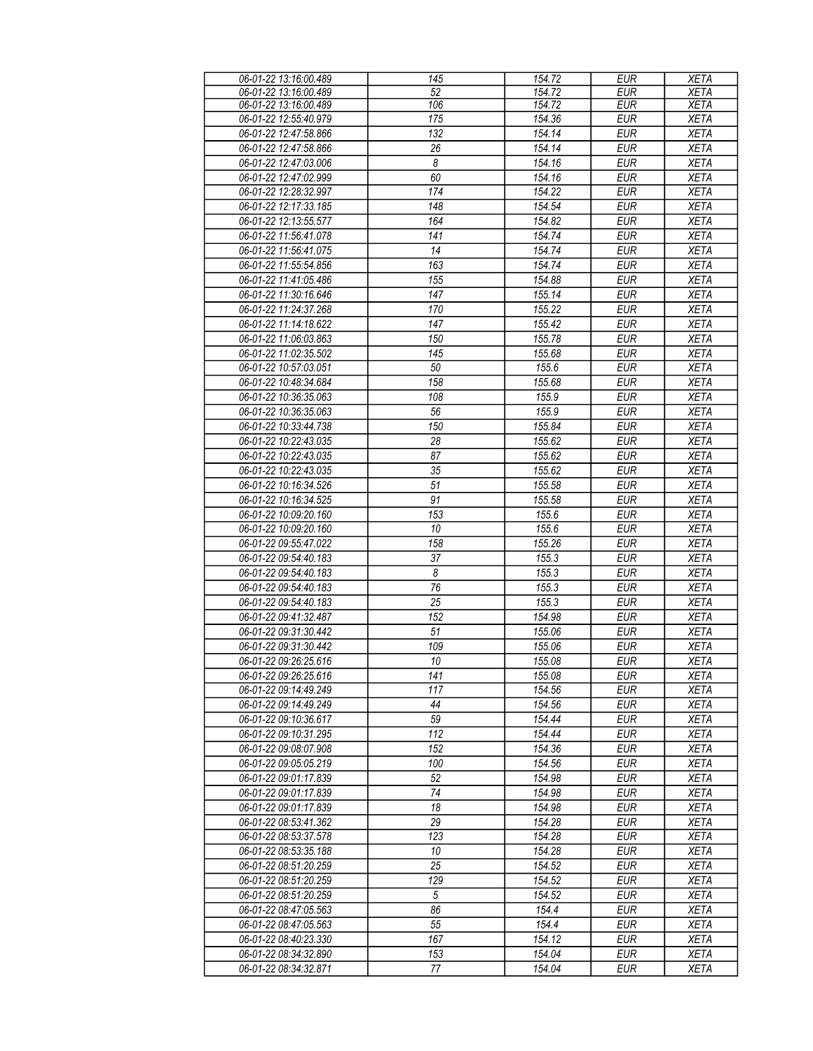| 06-01-22 13:16:00.489 | 145                   | 154.72 | <b>EUR</b> | <b>XETA</b> |
|-----------------------|-----------------------|--------|------------|-------------|
| 06-01-22 13:16:00.489 | 52                    | 154.72 | EUR        | <b>XETA</b> |
| 06-01-22 13:16:00.489 | 106                   | 154.72 | <b>EUR</b> | <b>XETA</b> |
| 06-01-22 12:55:40.979 | 175                   | 154.36 | <b>EUR</b> | <b>XETA</b> |
| 06-01-22 12:47:58.866 | $\overline{132}$      | 154.14 | <b>EUR</b> | <b>XETA</b> |
| 06-01-22 12:47:58.866 | 26                    | 154.14 | <b>EUR</b> | <b>XETA</b> |
| 06-01-22 12:47:03.006 | 8                     | 154.16 | <b>EUR</b> | <b>XETA</b> |
|                       |                       |        |            |             |
| 06-01-22 12:47:02.999 | 60                    | 154.16 | <b>EUR</b> | <b>XETA</b> |
| 06-01-22 12:28:32.997 | 174                   | 154.22 | <b>EUR</b> | <b>XETA</b> |
| 06-01-22 12:17:33.185 | 148                   | 154.54 | <b>EUR</b> | <b>XETA</b> |
| 06-01-22 12:13:55.577 | 164                   | 154.82 | <b>EUR</b> | <b>XETA</b> |
| 06-01-22 11:56:41.078 | 141                   | 154.74 | <b>EUR</b> | <b>XETA</b> |
| 06-01-22 11:56:41.075 | 14                    | 154.74 | <b>EUR</b> | <b>XETA</b> |
| 06-01-22 11:55:54.856 | 163                   | 154.74 | <b>EUR</b> | <b>XETA</b> |
| 06-01-22 11:41:05.486 | 155                   | 154.88 | <b>EUR</b> | <b>XETA</b> |
| 06-01-22 11:30:16.646 | 147                   | 155.14 | <b>EUR</b> | <b>XETA</b> |
| 06-01-22 11:24:37.268 | 170                   | 155.22 | <b>EUR</b> | <b>XETA</b> |
| 06-01-22 11:14:18.622 | 147                   | 155.42 | <b>EUR</b> | <b>XETA</b> |
| 06-01-22 11:06:03.863 | 150                   | 155.78 | <b>EUR</b> | <b>XETA</b> |
| 06-01-22 11:02:35.502 | 145                   | 155.68 | <b>EUR</b> | <b>XETA</b> |
|                       |                       |        |            |             |
| 06-01-22 10:57:03.051 | 50                    | 155.6  | <b>EUR</b> | <b>XETA</b> |
| 06-01-22 10:48:34.684 | 158                   | 155.68 | <b>EUR</b> | <b>XETA</b> |
| 06-01-22 10:36:35.063 | 108                   | 155.9  | <b>EUR</b> | <b>XETA</b> |
| 06-01-22 10:36:35.063 | 56                    | 155.9  | <b>EUR</b> | <b>XETA</b> |
| 06-01-22 10:33:44.738 | 150                   | 155.84 | <b>EUR</b> | <b>XETA</b> |
| 06-01-22 10:22:43.035 | 28                    | 155.62 | <b>EUR</b> | <b>XETA</b> |
| 06-01-22 10:22:43.035 | 87                    | 155.62 | <b>EUR</b> | <b>XETA</b> |
| 06-01-22 10:22:43.035 | 35                    | 155.62 | <b>EUR</b> | <b>XETA</b> |
| 06-01-22 10:16:34.526 | 51                    | 155.58 | <b>EUR</b> | <b>XETA</b> |
| 06-01-22 10:16:34.525 | 91                    | 155.58 | <b>EUR</b> | <b>XETA</b> |
| 06-01-22 10:09:20.160 | 153                   | 155.6  | <b>EUR</b> | <b>XETA</b> |
| 06-01-22 10:09:20.160 | 10                    | 155.6  | <b>EUR</b> | <b>XETA</b> |
| 06-01-22 09:55:47.022 | 158                   | 155.26 | <b>EUR</b> | <b>XETA</b> |
| 06-01-22 09:54:40.183 | 37                    | 155.3  | <b>EUR</b> | <b>XETA</b> |
| 06-01-22 09:54:40.183 | $\boldsymbol{\delta}$ | 155.3  | <b>EUR</b> | <b>XETA</b> |
| 06-01-22 09:54:40.183 | 76                    | 155.3  | <b>EUR</b> | <b>XETA</b> |
|                       |                       |        |            |             |
| 06-01-22 09:54:40.183 | 25                    | 155.3  | <b>EUR</b> | <b>XETA</b> |
| 06-01-22 09:41:32.487 | 152                   | 154.98 | <b>EUR</b> | <b>XETA</b> |
| 06-01-22 09:31:30.442 | 51                    | 155.06 | <b>EUR</b> | <b>XETA</b> |
| 06-01-22 09:31:30.442 | 109                   | 155.06 | <b>EUR</b> | <b>XETA</b> |
| 06-01-22 09:26:25.616 | 10                    | 155.08 | <b>EUR</b> | <b>XETA</b> |
| 06-01-22 09:26:25.616 | 141                   | 155.08 | <b>EUR</b> | XETA        |
| 06-01-22 09:14:49.249 | 117                   | 154.56 | <b>EUR</b> | <b>XETA</b> |
| 06-01-22 09:14:49.249 | 44                    | 154.56 | <b>EUR</b> | <b>XETA</b> |
| 06-01-22 09:10:36.617 | 59                    | 154.44 | <b>EUR</b> | <b>XETA</b> |
| 06-01-22 09:10:31.295 | 112                   | 154.44 | <b>EUR</b> | <b>XETA</b> |
| 06-01-22 09:08:07.908 | 152                   | 154.36 | <b>EUR</b> | <b>XETA</b> |
| 06-01-22 09:05:05.219 | 100                   | 154.56 | <b>EUR</b> | <b>XETA</b> |
| 06-01-22 09:01:17.839 | 52                    | 154.98 | <b>EUR</b> | <b>XETA</b> |
| 06-01-22 09:01:17.839 | 74                    | 154.98 | <b>EUR</b> | <b>XETA</b> |
| 06-01-22 09:01:17.839 | 18                    | 154.98 | <b>EUR</b> | <b>XETA</b> |
| 06-01-22 08:53:41.362 | 29                    | 154.28 | <b>EUR</b> | <b>XETA</b> |
|                       |                       |        |            |             |
| 06-01-22 08:53:37.578 | 123                   | 154.28 | <b>EUR</b> | <b>XETA</b> |
| 06-01-22 08:53:35.188 | 10                    | 154.28 | <b>EUR</b> | <b>XETA</b> |
| 06-01-22 08:51:20.259 | $\overline{25}$       | 154.52 | <b>EUR</b> | <b>XETA</b> |
| 06-01-22 08:51:20.259 | 129                   | 154.52 | <b>EUR</b> | <b>XETA</b> |
| 06-01-22 08:51:20.259 | $\sqrt{5}$            | 154.52 | <b>EUR</b> | <b>XETA</b> |
| 06-01-22 08:47:05.563 | 86                    | 154.4  | <b>EUR</b> | <b>XETA</b> |
| 06-01-22 08:47:05.563 | 55                    | 154.4  | <b>EUR</b> | <b>XETA</b> |
| 06-01-22 08:40:23.330 | 167                   | 154.12 | <b>EUR</b> | <b>XETA</b> |
| 06-01-22 08:34:32.890 | 153                   | 154.04 | <b>EUR</b> | <b>XETA</b> |
| 06-01-22 08:34:32.871 | 77                    | 154.04 | <b>EUR</b> | <b>XETA</b> |
|                       |                       |        |            |             |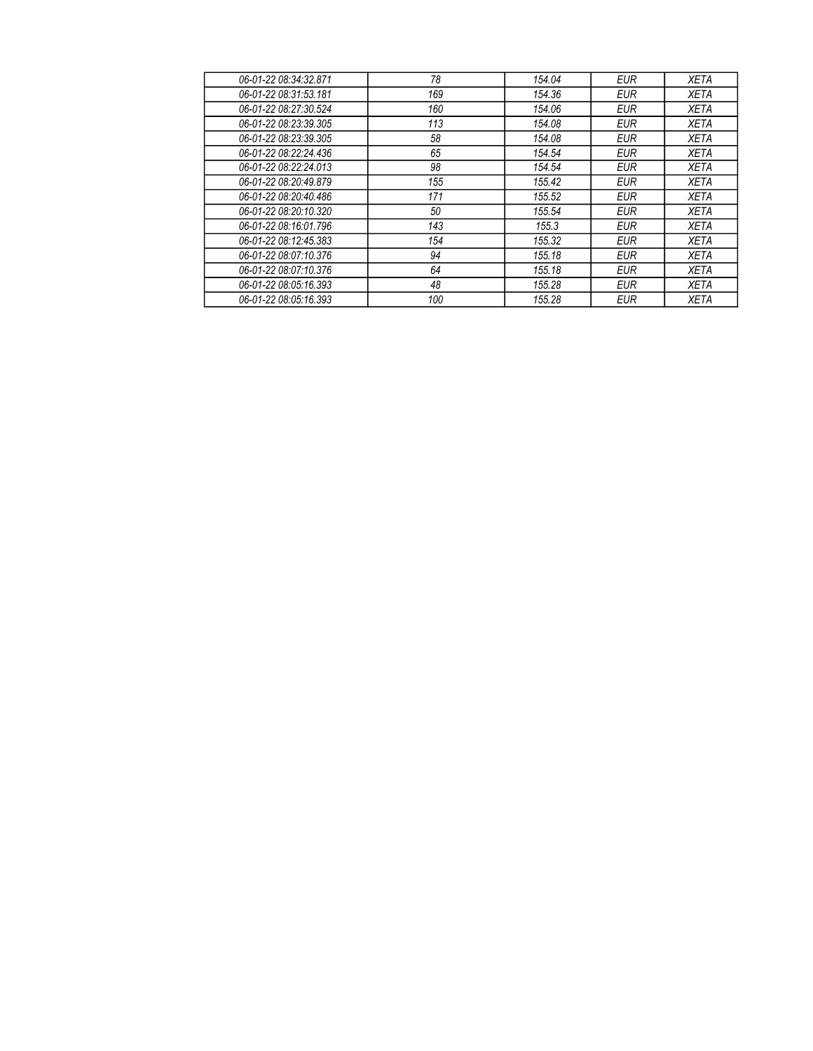| 06-01-22 08:34:32.871 | 78  | 154.04 | <b>EUR</b> | <b>XETA</b> |
|-----------------------|-----|--------|------------|-------------|
| 06-01-22 08:31:53 181 | 169 | 154.36 | <b>EUR</b> | <b>XETA</b> |
| 06-01-22 08:27:30.524 | 160 | 154.06 | <b>EUR</b> | <b>XETA</b> |
| 06-01-22 08:23:39.305 | 113 | 154.08 | <b>EUR</b> | <b>XETA</b> |
| 06-01-22 08:23:39.305 | 58  | 154.08 | <b>EUR</b> | <b>XETA</b> |
| 06-01-22 08:22:24.436 | 65  | 154.54 | <b>EUR</b> | <b>XETA</b> |
| 06-01-22 08:22:24.013 | 98  | 154.54 | <b>EUR</b> | <b>XETA</b> |
| 06-01-22 08:20:49.879 | 155 | 155.42 | <b>EUR</b> | <b>XETA</b> |
| 06-01-22 08:20:40.486 | 171 | 155.52 | <b>EUR</b> | <b>XETA</b> |
| 06-01-22 08:20:10.320 | 50  | 155.54 | <b>EUR</b> | <b>XETA</b> |
| 06-01-22 08:16:01.796 | 143 | 155.3  | <b>EUR</b> | <b>XETA</b> |
| 06-01-22 08:12:45.383 | 154 | 155.32 | <b>EUR</b> | <b>XETA</b> |
| 06-01-22 08:07:10.376 | 94  | 155.18 | <b>EUR</b> | <b>XETA</b> |
| 06-01-22 08:07:10.376 | 64  | 155.18 | <b>EUR</b> | <b>XETA</b> |
| 06-01-22 08:05:16.393 | 48  | 155.28 | <b>EUR</b> | <b>XETA</b> |
| 06-01-22 08:05:16.393 | 100 | 155.28 | <b>EUR</b> | <b>XETA</b> |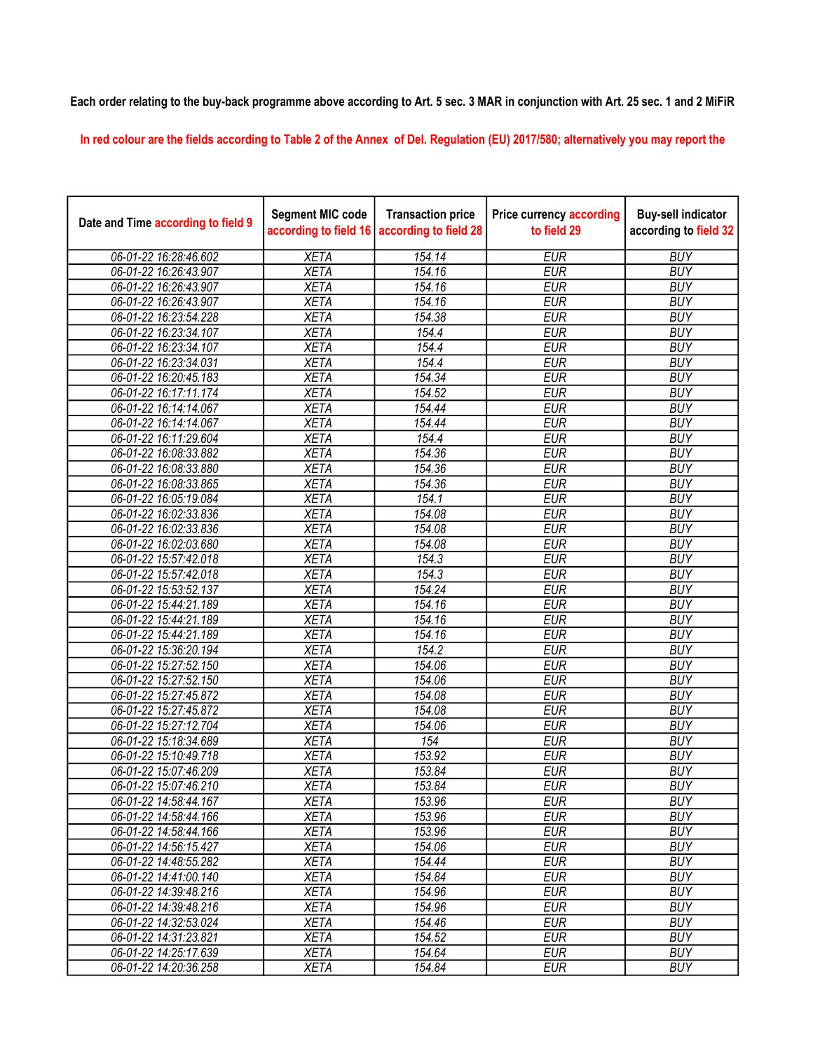## Each order relating to the buy-back programme above according to Art. 5 sec. 3 MAR in conjunction with Art. 25 sec. 1 and 2 MiFiR

In red colour are the fields according to Table 2 of the Annex of Del. Regulation (EU) 2017/580; alternatively you may report the

| Date and Time according to field 9 | <b>Segment MIC code</b><br>according to field 16 | <b>Transaction price</b><br>according to field 28 | <b>Price currency according</b><br>to field 29 | <b>Buy-sell indicator</b><br>according to field 32 |
|------------------------------------|--------------------------------------------------|---------------------------------------------------|------------------------------------------------|----------------------------------------------------|
| 06-01-22 16:28:46.602              | <b>XETA</b>                                      | 154.14                                            | <b>EUR</b>                                     | <b>BUY</b>                                         |
| 06-01-22 16:26:43.907              | <b>XETA</b>                                      | 154.16                                            | <b>EUR</b>                                     | <b>BUY</b>                                         |
| 06-01-22 16:26:43.907              | <b>XETA</b>                                      | 154.16                                            | <b>EUR</b>                                     | <b>BUY</b>                                         |
| 06-01-22 16:26:43.907              | <b>XETA</b>                                      | 154.16                                            | <b>EUR</b>                                     | <b>BUY</b>                                         |
| 06-01-22 16:23:54.228              | <b>XETA</b>                                      | 154.38                                            | <b>EUR</b>                                     | <b>BUY</b>                                         |
| 06-01-22 16:23:34.107              | <b>XETA</b>                                      | 154.4                                             | <b>EUR</b>                                     | <b>BUY</b>                                         |
| 06-01-22 16:23:34.107              | <b>XETA</b>                                      | 154.4                                             | <b>EUR</b>                                     | <b>BUY</b>                                         |
| 06-01-22 16:23:34.031              | <b>XETA</b>                                      | 154.4                                             | <b>EUR</b>                                     | <b>BUY</b>                                         |
| 06-01-22 16:20:45.183              | <b>XETA</b>                                      | 154.34                                            | <b>EUR</b>                                     | <b>BUY</b>                                         |
| 06-01-22 16:17:11.174              | <b>XETA</b>                                      | 154.52                                            | <b>EUR</b>                                     | <b>BUY</b>                                         |
| 06-01-22 16:14:14.067              | <b>XETA</b>                                      | 154.44                                            | <b>EUR</b>                                     | <b>BUY</b>                                         |
| 06-01-22 16:14:14.067              | <b>XETA</b>                                      | 154.44                                            | <b>EUR</b>                                     | <b>BUY</b>                                         |
| 06-01-22 16:11:29.604              | <b>XETA</b>                                      | 154.4                                             | <b>EUR</b>                                     | <b>BUY</b>                                         |
| 06-01-22 16:08:33.882              | <b>XETA</b>                                      | 154.36                                            | <b>EUR</b>                                     | <b>BUY</b>                                         |
| 06-01-22 16:08:33.880              | <b>XETA</b>                                      | 154.36                                            | <b>EUR</b>                                     | <b>BUY</b>                                         |
| 06-01-22 16:08:33.865              | <b>XETA</b>                                      | 154.36                                            | <b>EUR</b>                                     | <b>BUY</b>                                         |
| 06-01-22 16:05:19.084              | <b>XETA</b>                                      | 154.1                                             | <b>EUR</b>                                     | <b>BUY</b>                                         |
| 06-01-22 16:02:33.836              | <b>XETA</b>                                      | 154.08                                            | <b>EUR</b>                                     | <b>BUY</b>                                         |
| 06-01-22 16:02:33.836              | <b>XETA</b>                                      | 154.08                                            | <b>EUR</b>                                     | <b>BUY</b>                                         |
| 06-01-22 16:02:03.680              | <b>XETA</b>                                      | 154.08                                            | <b>EUR</b>                                     | <b>BUY</b>                                         |
| 06-01-22 15:57:42.018              | <b>XETA</b>                                      | 154.3                                             | <b>EUR</b>                                     | <b>BUY</b>                                         |
| 06-01-22 15:57:42.018              | <b>XETA</b>                                      | 154.3                                             | <b>EUR</b>                                     | <b>BUY</b>                                         |
| 06-01-22 15:53:52.137              | <b>XETA</b>                                      | 154.24                                            | <b>EUR</b>                                     | <b>BUY</b>                                         |
| 06-01-22 15:44:21.189              | <b>XETA</b>                                      | 154.16                                            | <b>EUR</b>                                     | <b>BUY</b>                                         |
| 06-01-22 15:44:21.189              | <b>XETA</b>                                      | 154.16                                            | <b>EUR</b>                                     | <b>BUY</b>                                         |
| 06-01-22 15:44:21.189              | <b>XETA</b>                                      | 154.16                                            | <b>EUR</b>                                     | <b>BUY</b>                                         |
| 06-01-22 15:36:20.194              | <b>XETA</b>                                      | 154.2                                             | <b>EUR</b>                                     | <b>BUY</b>                                         |
| 06-01-22 15:27:52.150              | <b>XETA</b>                                      | 154.06                                            | <b>EUR</b>                                     | <b>BUY</b>                                         |
| 06-01-22 15:27:52.150              | <b>XETA</b>                                      | 154.06                                            | <b>EUR</b>                                     | <b>BUY</b>                                         |
| 06-01-22 15:27:45.872              | <b>XETA</b>                                      | 154.08                                            | <b>EUR</b>                                     | <b>BUY</b>                                         |
| 06-01-22 15:27:45.872              | <b>XETA</b>                                      | 154.08                                            | <b>EUR</b>                                     | <b>BUY</b>                                         |
| 06-01-22 15:27:12.704              | <b>XETA</b>                                      | 154.06                                            | <b>EUR</b>                                     | <b>BUY</b>                                         |
| 06-01-22 15:18:34.689              | <b>XETA</b>                                      | 154                                               | <b>EUR</b>                                     | <b>BUY</b>                                         |
| 06-01-22 15:10:49.718              | <b>XETA</b>                                      | 153.92                                            | <b>EUR</b>                                     | <b>BUY</b>                                         |
| 06-01-22 15:07:46.209              | <b>XETA</b>                                      | 153.84                                            | <b>EUR</b>                                     | <b>BUY</b>                                         |
| 06-01-22 15:07:46.210              | <b>XETA</b>                                      | 153.84                                            | <b>EUR</b>                                     | <b>BUY</b>                                         |
| 06-01-22 14:58:44.167              | <b>XETA</b>                                      | 153.96                                            | <b>EUR</b>                                     | <b>BUY</b>                                         |
| 06-01-22 14:58:44.166              | <b>XETA</b>                                      | 153.96                                            | <b>EUR</b>                                     | <b>BUY</b>                                         |
| 06-01-22 14:58:44.166              | <b>XETA</b>                                      | 153.96                                            | <b>EUR</b>                                     | <b>BUY</b>                                         |
| 06-01-22 14:56:15.427              | <b>XETA</b>                                      | 154.06                                            | <b>EUR</b>                                     | <b>BUY</b>                                         |
| 06-01-22 14:48:55.282              | <b>XETA</b>                                      | 154.44                                            | <b>EUR</b>                                     | <b>BUY</b>                                         |
| 06-01-22 14:41:00.140              | <b>XETA</b>                                      | 154.84                                            | <b>EUR</b>                                     | <b>BUY</b>                                         |
| 06-01-22 14:39:48.216              | <b>XETA</b>                                      | 154.96                                            | <b>EUR</b>                                     | <b>BUY</b>                                         |
| 06-01-22 14:39:48.216              | <b>XETA</b>                                      | 154.96                                            | <b>EUR</b>                                     | <b>BUY</b>                                         |
| 06-01-22 14:32:53.024              | <b>XETA</b>                                      | 154.46                                            | <b>EUR</b>                                     | <b>BUY</b>                                         |
| 06-01-22 14:31:23.821              | <b>XETA</b>                                      | 154.52                                            | <b>EUR</b>                                     | <b>BUY</b>                                         |
| 06-01-22 14:25:17.639              | <b>XETA</b>                                      | 154.64                                            | <b>EUR</b>                                     | <b>BUY</b>                                         |
| 06-01-22 14:20:36.258              | <b>XETA</b>                                      | 154.84                                            | <b>EUR</b>                                     | <b>BUY</b>                                         |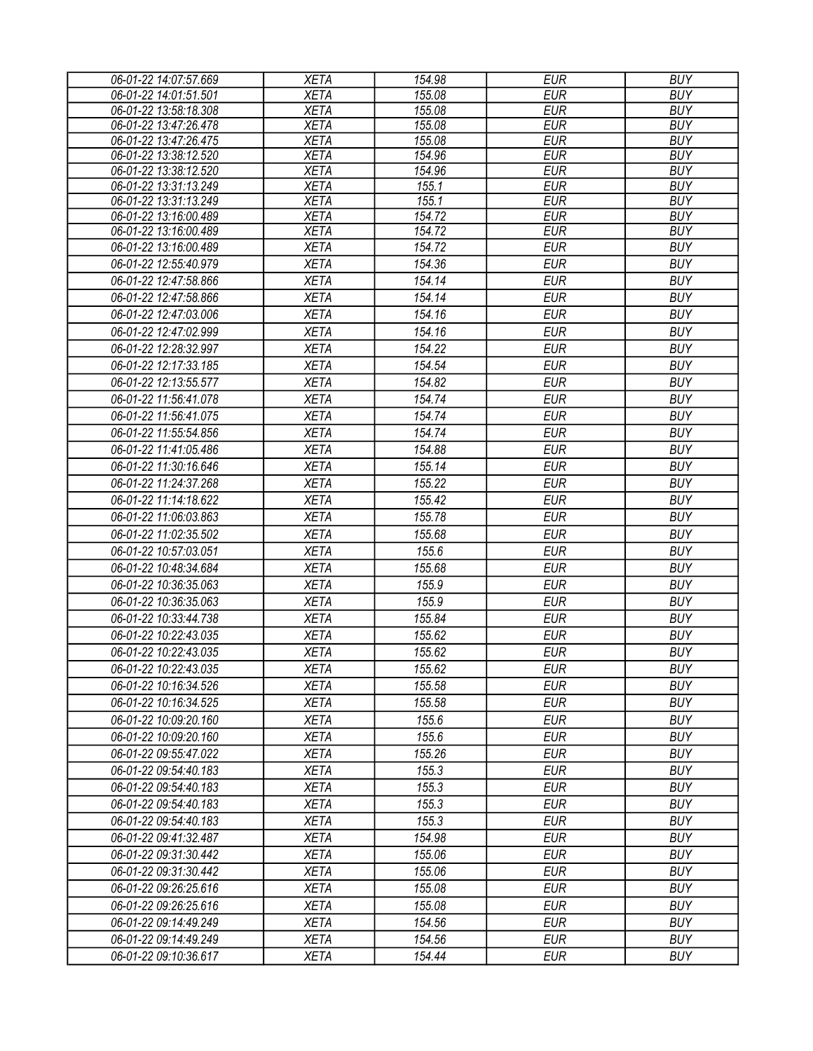| 06-01-22 14:07:57.669 | <b>XETA</b> | 154.98 | <b>EUR</b> | <b>BUY</b>               |
|-----------------------|-------------|--------|------------|--------------------------|
| 06-01-22 14:01:51.501 | <b>XETA</b> | 155.08 | <b>EUR</b> | <b>BUY</b>               |
| 06-01-22 13:58:18.308 | <b>XETA</b> | 155.08 | <b>EUR</b> | <b>BUY</b>               |
| 06-01-22 13:47:26.478 | <b>XETA</b> | 155.08 | <b>EUR</b> | <b>BUY</b>               |
| 06-01-22 13:47:26.475 | <b>XETA</b> | 155.08 | <b>EUR</b> | <b>BUY</b>               |
| 06-01-22 13:38:12.520 | <b>XETA</b> | 154.96 | <b>EUR</b> | <b>BUY</b>               |
| 06-01-22 13:38:12.520 | <b>XETA</b> | 154.96 | <b>EUR</b> | <b>BUY</b>               |
| 06-01-22 13:31:13.249 | <b>XETA</b> | 155.1  | <b>EUR</b> | <b>BUY</b>               |
| 06-01-22 13:31:13.249 | <b>XETA</b> | 155.1  | <b>EUR</b> | <b>BUY</b>               |
| 06-01-22 13:16:00.489 | <b>XETA</b> | 154.72 | <b>EUR</b> | <b>BUY</b>               |
| 06-01-22 13:16:00.489 | <b>XETA</b> | 154.72 | <b>EUR</b> | <b>BUY</b>               |
| 06-01-22 13:16:00.489 | <b>XETA</b> | 154.72 | <b>EUR</b> | <b>BUY</b>               |
| 06-01-22 12:55:40.979 | <b>XETA</b> | 154.36 | <b>EUR</b> | <b>BUY</b>               |
| 06-01-22 12:47:58.866 | <b>XETA</b> | 154.14 | <b>EUR</b> | <b>BUY</b>               |
| 06-01-22 12:47:58.866 | <b>XETA</b> | 154.14 | <b>EUR</b> | <b>BUY</b>               |
| 06-01-22 12:47:03.006 | <b>XETA</b> | 154.16 | <b>EUR</b> | <b>BUY</b>               |
| 06-01-22 12:47:02.999 | <b>XETA</b> | 154.16 | <b>EUR</b> | <b>BUY</b>               |
| 06-01-22 12:28:32.997 | <b>XETA</b> | 154.22 | <b>EUR</b> | <b>BUY</b>               |
| 06-01-22 12:17:33.185 | <b>XETA</b> | 154.54 | <b>EUR</b> | <b>BUY</b>               |
| 06-01-22 12:13:55.577 | <b>XETA</b> | 154.82 | <b>EUR</b> | <b>BUY</b>               |
| 06-01-22 11:56:41.078 | <b>XETA</b> | 154.74 | <b>EUR</b> | <b>BUY</b>               |
| 06-01-22 11:56:41.075 | <b>XETA</b> | 154.74 | <b>EUR</b> | <b>BUY</b>               |
| 06-01-22 11:55:54.856 | <b>XETA</b> | 154.74 | <b>EUR</b> | <b>BUY</b>               |
| 06-01-22 11:41:05.486 | <b>XETA</b> | 154.88 | <b>EUR</b> | <b>BUY</b>               |
| 06-01-22 11:30:16.646 | <b>XETA</b> | 155.14 | <b>EUR</b> | <b>BUY</b>               |
| 06-01-22 11:24:37.268 | <b>XETA</b> | 155.22 | <b>EUR</b> | <b>BUY</b>               |
|                       |             |        |            | <b>BUY</b>               |
| 06-01-22 11:14:18.622 | <b>XETA</b> | 155.42 | <b>EUR</b> |                          |
| 06-01-22 11:06:03.863 | <b>XETA</b> | 155.78 | <b>EUR</b> | <b>BUY</b>               |
| 06-01-22 11:02:35.502 | <b>XETA</b> | 155.68 | <b>EUR</b> | <b>BUY</b>               |
| 06-01-22 10:57:03.051 | <b>XETA</b> | 155.6  | <b>EUR</b> | <b>BUY</b>               |
| 06-01-22 10:48:34.684 | <b>XETA</b> | 155.68 | <b>EUR</b> | <b>BUY</b>               |
| 06-01-22 10:36:35.063 | <b>XETA</b> | 155.9  | <b>EUR</b> | <b>BUY</b>               |
| 06-01-22 10:36:35.063 | <b>XETA</b> | 155.9  | <b>EUR</b> | <b>BUY</b>               |
| 06-01-22 10:33:44.738 | <b>XETA</b> | 155.84 | <b>EUR</b> | <b>BUY</b>               |
| 06-01-22 10:22:43.035 | <b>XETA</b> | 155.62 | <b>EUR</b> | <b>BUY</b>               |
| 06-01-22 10:22:43.035 | <b>XETA</b> | 155.62 | <b>EUR</b> | <b>BUY</b>               |
| 06-01-22 10:22:43.035 | <b>XETA</b> | 155.62 | <b>EUR</b> | <b>BUY</b>               |
| 06-01-22 10:16:34.526 | <b>XETA</b> | 155.58 | EUR        | <b>BUY</b>               |
| 06-01-22 10:16:34.525 | <b>XETA</b> | 155.58 | <b>EUR</b> | <b>BUY</b>               |
| 06-01-22 10:09:20.160 | <b>XETA</b> | 155.6  | <b>EUR</b> | <b>BUY</b>               |
| 06-01-22 10:09:20.160 | <b>XETA</b> | 155.6  | <b>EUR</b> | <b>BUY</b>               |
| 06-01-22 09:55:47.022 | <b>XETA</b> | 155.26 | <b>EUR</b> | <b>BUY</b>               |
| 06-01-22 09:54:40.183 | <b>XETA</b> | 155.3  | <b>EUR</b> | <b>BUY</b>               |
| 06-01-22 09:54:40.183 | <b>XETA</b> | 155.3  | <b>EUR</b> | <b>BUY</b>               |
| 06-01-22 09:54:40.183 | <b>XETA</b> | 155.3  | <b>EUR</b> | <b>BUY</b>               |
|                       | <b>XETA</b> | 155.3  | <b>EUR</b> |                          |
| 06-01-22 09:54:40.183 |             |        |            | <b>BUY</b><br><b>BUY</b> |
| 06-01-22 09:41:32.487 | <b>XETA</b> | 154.98 | <b>EUR</b> |                          |
| 06-01-22 09:31:30.442 | <b>XETA</b> | 155.06 | <b>EUR</b> | <b>BUY</b>               |
| 06-01-22 09:31:30.442 | <b>XETA</b> | 155.06 | <b>EUR</b> | <b>BUY</b>               |
| 06-01-22 09:26:25.616 | <b>XETA</b> | 155.08 | <b>EUR</b> | <b>BUY</b>               |
| 06-01-22 09:26:25.616 | <b>XETA</b> | 155.08 | <b>EUR</b> | <b>BUY</b>               |
| 06-01-22 09:14:49.249 | <b>XETA</b> | 154.56 | <b>EUR</b> | <b>BUY</b>               |
| 06-01-22 09:14:49.249 | <b>XETA</b> | 154.56 | <b>EUR</b> | <b>BUY</b>               |
| 06-01-22 09:10:36.617 | <b>XETA</b> | 154.44 | <b>EUR</b> | <b>BUY</b>               |